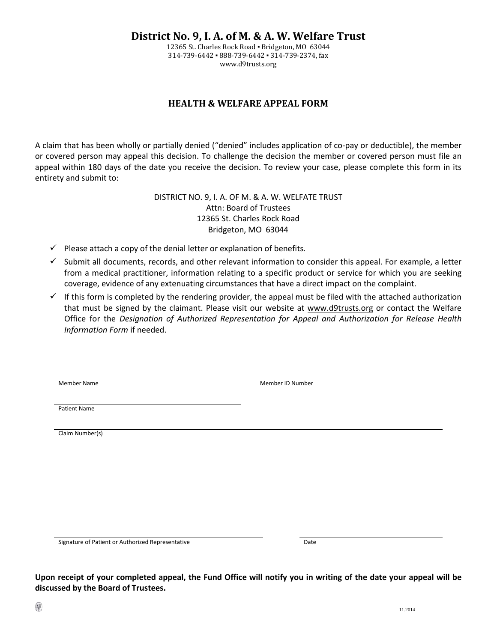**District No. 9, I. A. of M. & A. W. Welfare Trust**

12365 St. Charles Rock Road ▪ Bridgeton, MO 63044 314-739-6442 ▪ 888-739-6442 ▪ 314-739-2374, fax [www.d9trusts.org](http://www.d9trusts.org/)

## **HEALTH & WELFARE APPEAL FORM**

A claim that has been wholly or partially denied ("denied" includes application of co-pay or deductible), the member or covered person may appeal this decision. To challenge the decision the member or covered person must file an appeal within 180 days of the date you receive the decision. To review your case, please complete this form in its entirety and submit to:

> DISTRICT NO. 9, I. A. OF M. & A. W. WELFATE TRUST Attn: Board of Trustees 12365 St. Charles Rock Road Bridgeton, MO 63044

- $\checkmark$  Please attach a copy of the denial letter or explanation of benefits.
- $\checkmark$  Submit all documents, records, and other relevant information to consider this appeal. For example, a letter from a medical practitioner, information relating to a specific product or service for which you are seeking coverage, evidence of any extenuating circumstances that have a direct impact on the complaint.
- If this form is completed by the rendering provider, the appeal must be filed with the attached authorization that must be signed by the claimant. Please visit our website at [www.d9trusts.org](http://www.d9trusts.org/) or contact the Welfare Office for the *Designation of Authorized Representation for Appeal and Authorization for Release Health Information Form* if needed.

Member Name **Member ID Number ID Number ID Number ID Number ID Number ID Number ID Number ID Number ID Number I** 

Patient Name

Claim Number(s)

Signature of Patient or Authorized Representative Date

**Upon receipt of your completed appeal, the Fund Office will notify you in writing of the date your appeal will be discussed by the Board of Trustees.**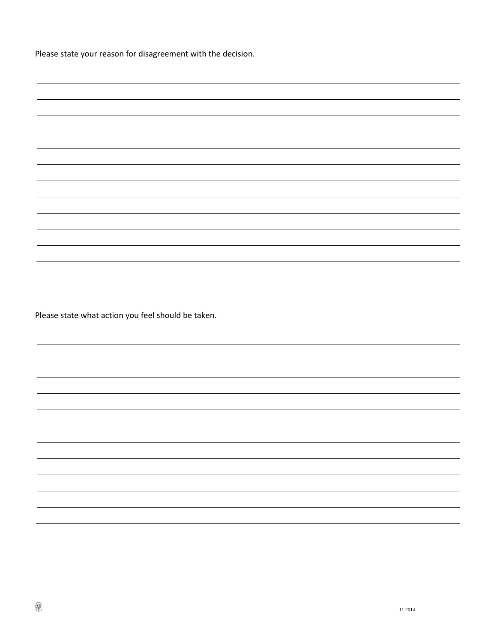Please state your reason for disagreement with the decision.

Please state what action you feel should be taken.